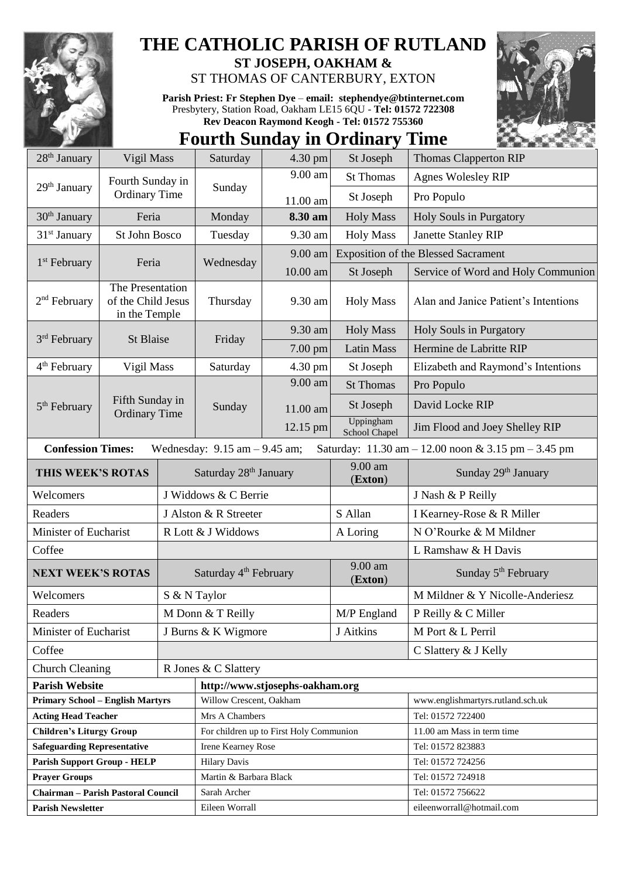

## **THE CATHOLIC PARISH OF RUTLAND**

**ST JOSEPH, OAKHAM &**  ST THOMAS OF CANTERBURY, EXTON

**Parish Priest: Fr Stephen Dye** – **[email: stephendye@btinternet.com](mailto:email:%20%20stephendye@btinternet.com)** Presbytery, Station Road, Oakham LE15 6QU - **Tel: 01572 722308 Rev Deacon Raymond Keogh - Tel: 01572 755360**

## **Fourth Sunday in Ordinary Time**



| $28th$ January                          | Vigil Mass                                              |                                   | Saturday                                | $4.30$ pm | St Joseph                  | <b>Thomas Clapperton RIP</b>                                                           |
|-----------------------------------------|---------------------------------------------------------|-----------------------------------|-----------------------------------------|-----------|----------------------------|----------------------------------------------------------------------------------------|
|                                         | Fourth Sunday in<br><b>Ordinary Time</b>                |                                   | Sunday                                  | 9.00 am   | <b>St Thomas</b>           | <b>Agnes Wolesley RIP</b>                                                              |
| 29 <sup>th</sup> January                |                                                         |                                   |                                         | 11.00 am  | St Joseph                  | Pro Populo                                                                             |
| $30th$ January                          | Feria                                                   |                                   | Monday                                  | 8.30 am   | <b>Holy Mass</b>           | Holy Souls in Purgatory                                                                |
| $31st$ January                          | St John Bosco                                           |                                   | Tuesday                                 | 9.30 am   | <b>Holy Mass</b>           | <b>Janette Stanley RIP</b>                                                             |
|                                         | Feria                                                   |                                   | Wednesday                               | 9.00 am   |                            | <b>Exposition of the Blessed Sacrament</b>                                             |
| 1 <sup>st</sup> February                |                                                         |                                   |                                         | 10.00 am  | St Joseph                  | Service of Word and Holy Communion                                                     |
| $2nd$ February                          | The Presentation<br>of the Child Jesus<br>in the Temple |                                   | Thursday                                | 9.30 am   | <b>Holy Mass</b>           | Alan and Janice Patient's Intentions                                                   |
| 3rd February                            | St Blaise                                               |                                   | Friday                                  | 9.30 am   | <b>Holy Mass</b>           | Holy Souls in Purgatory                                                                |
|                                         |                                                         |                                   |                                         | 7.00 pm   | <b>Latin Mass</b>          | Hermine de Labritte RIP                                                                |
| 4 <sup>th</sup> February                | Vigil Mass                                              |                                   | Saturday                                | 4.30 pm   | St Joseph                  | Elizabeth and Raymond's Intentions                                                     |
|                                         |                                                         |                                   | Sunday                                  | 9.00 am   | <b>St Thomas</b>           | Pro Populo                                                                             |
| $5th$ February                          | Fifth Sunday in                                         |                                   |                                         | 11.00 am  | St Joseph                  | David Locke RIP                                                                        |
|                                         | <b>Ordinary Time</b>                                    |                                   |                                         | 12.15 pm  | Uppingham<br>School Chapel | Jim Flood and Joey Shelley RIP                                                         |
| <b>Confession Times:</b>                |                                                         |                                   | Wednesday: $9.15$ am $- 9.45$ am;       |           |                            | Saturday: $11.30 \text{ am} - 12.00 \text{ noon} \& 3.15 \text{ pm} - 3.45 \text{ pm}$ |
| THIS WEEK'S ROTAS                       |                                                         |                                   | Saturday 28 <sup>th</sup> January       |           | 9.00 am<br>(Exton)         | Sunday 29th January                                                                    |
| Welcomers                               |                                                         |                                   | J Widdows & C Berrie                    |           |                            | J Nash & P Reilly                                                                      |
| Readers                                 |                                                         |                                   | J Alston & R Streeter                   |           | S Allan                    | I Kearney-Rose & R Miller                                                              |
| Minister of Eucharist                   |                                                         | R Lott & J Widdows                |                                         |           | A Loring                   | N O'Rourke & M Mildner                                                                 |
| Coffee                                  |                                                         |                                   |                                         |           | L Ramshaw & H Davis        |                                                                                        |
| <b>NEXT WEEK'S ROTAS</b>                |                                                         | Saturday 4 <sup>th</sup> February |                                         |           | 9.00 am<br>(Exton)         | Sunday 5 <sup>th</sup> February                                                        |
| Welcomers                               |                                                         |                                   | S & N Taylor                            |           |                            | M Mildner & Y Nicolle-Anderiesz                                                        |
| Readers                                 |                                                         | M Donn & T Reilly                 |                                         |           | M/P England                | P Reilly & C Miller                                                                    |
| Minister of Eucharist                   |                                                         |                                   | J Burns & K Wigmore                     |           | J Aitkins                  | M Port & L Perril                                                                      |
| Coffee                                  |                                                         |                                   |                                         |           |                            | C Slattery & J Kelly                                                                   |
| <b>Church Cleaning</b>                  |                                                         |                                   | R Jones & C Slattery                    |           |                            |                                                                                        |
| <b>Parish Website</b>                   |                                                         |                                   | http://www.stjosephs-oakham.org         |           |                            |                                                                                        |
| <b>Primary School - English Martyrs</b> |                                                         |                                   | Willow Crescent, Oakham                 |           |                            | www.englishmartyrs.rutland.sch.uk                                                      |
| <b>Acting Head Teacher</b>              |                                                         |                                   | Mrs A Chambers                          |           |                            | Tel: 01572 722400                                                                      |
| <b>Children's Liturgy Group</b>         |                                                         |                                   | For children up to First Holy Communion |           |                            | 11.00 am Mass in term time                                                             |
| <b>Safeguarding Representative</b>      |                                                         |                                   | Irene Kearney Rose                      |           |                            | Tel: 01572 823883                                                                      |
| <b>Parish Support Group - HELP</b>      |                                                         |                                   | <b>Hilary Davis</b>                     |           |                            | Tel: 01572 724256                                                                      |
| <b>Prayer Groups</b>                    |                                                         |                                   | Martin & Barbara Black                  |           |                            | Tel: 01572 724918                                                                      |
| Chairman - Parish Pastoral Council      |                                                         |                                   | Sarah Archer                            |           |                            | Tel: 01572 756622                                                                      |
| <b>Parish Newsletter</b>                |                                                         |                                   | Eileen Worrall                          |           |                            | eileenworrall@hotmail.com                                                              |